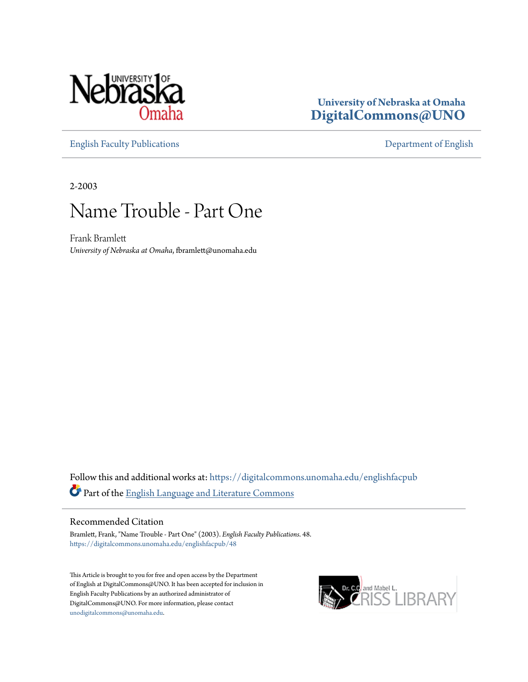

### **University of Nebraska at Omaha [DigitalCommons@UNO](https://digitalcommons.unomaha.edu?utm_source=digitalcommons.unomaha.edu%2Fenglishfacpub%2F48&utm_medium=PDF&utm_campaign=PDFCoverPages)**

[English Faculty Publications](https://digitalcommons.unomaha.edu/englishfacpub?utm_source=digitalcommons.unomaha.edu%2Fenglishfacpub%2F48&utm_medium=PDF&utm_campaign=PDFCoverPages) [Department of English](https://digitalcommons.unomaha.edu/english?utm_source=digitalcommons.unomaha.edu%2Fenglishfacpub%2F48&utm_medium=PDF&utm_campaign=PDFCoverPages)

2-2003

## Name Trouble - Part One

Frank Bramlett *University of Nebraska at Omaha*, fbramlett@unomaha.edu

Follow this and additional works at: [https://digitalcommons.unomaha.edu/englishfacpub](https://digitalcommons.unomaha.edu/englishfacpub?utm_source=digitalcommons.unomaha.edu%2Fenglishfacpub%2F48&utm_medium=PDF&utm_campaign=PDFCoverPages) Part of the [English Language and Literature Commons](http://network.bepress.com/hgg/discipline/455?utm_source=digitalcommons.unomaha.edu%2Fenglishfacpub%2F48&utm_medium=PDF&utm_campaign=PDFCoverPages)

#### Recommended Citation

Bramlett, Frank, "Name Trouble - Part One" (2003). *English Faculty Publications*. 48. [https://digitalcommons.unomaha.edu/englishfacpub/48](https://digitalcommons.unomaha.edu/englishfacpub/48?utm_source=digitalcommons.unomaha.edu%2Fenglishfacpub%2F48&utm_medium=PDF&utm_campaign=PDFCoverPages)

This Article is brought to you for free and open access by the Department of English at DigitalCommons@UNO. It has been accepted for inclusion in English Faculty Publications by an authorized administrator of DigitalCommons@UNO. For more information, please contact [unodigitalcommons@unomaha.edu](mailto:unodigitalcommons@unomaha.edu).